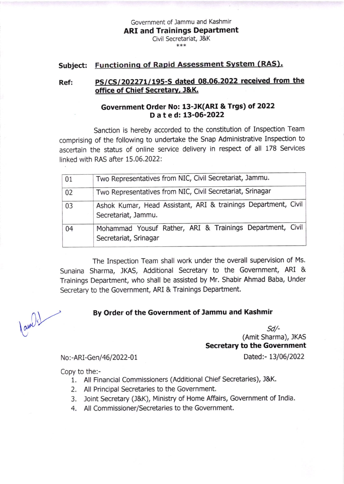Government of Jammu and Kashmir ARI and Trainings Department Civil Secretariat, J&K

\*\*\*

## Subject: Functioning of Rapid Assessment System (RAS).

## Ref: PS/CS/202271/195-S dated 08.06.2022 received from the office of Chief Secretary, J&K.

## Government Order No: 13-JK(ARI & Trgs) of 2022 Dated:13'06-2022

Sanction is hereby accorded to the constitution of Inspection Team comprising of the following to undertake the snap Administrative Inspection to ascertain the status of online service delivery in respect of all 178 Services linked with RAS after 15.06,2022:

| 01 | Two Representatives from NIC, Civil Secretariat, Jammu.                               |
|----|---------------------------------------------------------------------------------------|
| 02 | Two Representatives from NIC, Civil Secretariat, Srinagar                             |
| 03 | Ashok Kumar, Head Assistant, ARI & trainings Department, Civil<br>Secretariat, Jammu. |
| 04 | Mohammad Yousuf Rather, ARI & Trainings Department, Civil<br>Secretariat, Srinagar    |

The Inspection Team shall work under the overall supervision of Ms. Sunaina Sharma, JKAS, Additional Secretary to the Government, ARI & Trainings Department, who shall be assisted by Mr. Shabir Ahmad Baba, Under Secretary to the Government, ARI & Trainings Department.

## By Order of the Government of Jammu and Kashmir

 $Sd$ /-(Amit Sharma), JKAS Secretary to the Government

No:-ARI-Gen/46/2022-01

Dated:- 13/06/2022

Copy to the:-

- 1. All Financial Commissioners (Additional Chief Secretaries), J&K.
- 2. All Principal Secretaries to the Government.
- 3. loint Secretary (J&K), Ministry of Home Affairs, Government of India.
- 4. All Commissioner/Secretaries to the Government,

 $\frac{1}{\frac{1}{2}}$